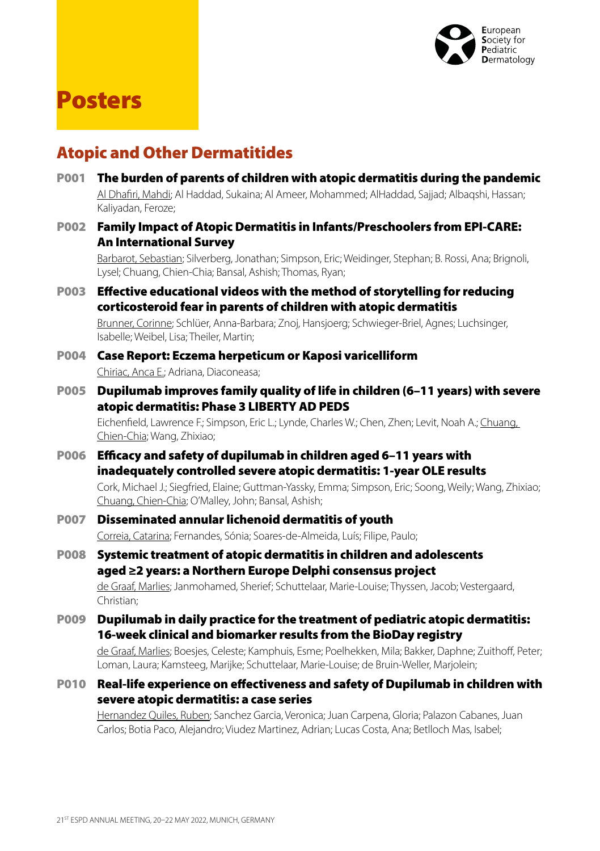

# Posters

# Atopic and Other Dermatitides

- P001 The burden of parents of children with atopic dermatitis during the pandemic Al Dhafiri, Mahdi; Al Haddad, Sukaina; Al Ameer, Mohammed; AlHaddad, Sajjad; Albaqshi, Hassan; Kaliyadan, Feroze;
- P002 Family Impact of Atopic Dermatitis in Infants/Preschoolers from EPI-CARE: An International Survey

Barbarot, Sebastian; Silverberg, Jonathan; Simpson, Eric; Weidinger, Stephan; B. Rossi, Ana; Brignoli, Lysel; Chuang, Chien-Chia; Bansal, Ashish; Thomas, Ryan;

P003 Effective educational videos with the method of storytelling for reducing corticosteroid fear in parents of children with atopic dermatitis

Brunner, Corinne; Schlüer, Anna-Barbara; Znoj, Hansjoerg; Schwieger-Briel, Agnes; Luchsinger, Isabelle; Weibel, Lisa; Theiler, Martin;

- P004 Case Report: Eczema herpeticum or Kaposi varicelliform Chiriac, Anca E.; Adriana, Diaconeasa;
- P005 Dupilumab improves family quality of life in children (6–11 years) with severe atopic dermatitis: Phase 3 LIBERTY AD PEDS

Eichenfield, Lawrence F.; Simpson, Eric L.; Lynde, Charles W.; Chen, Zhen; Levit, Noah A.; Chuang, Chien-Chia; Wang, Zhixiao;

P006 Efficacy and safety of dupilumab in children aged 6–11 years with inadequately controlled severe atopic dermatitis: 1-year OLE results

Cork, Michael J.; Siegfried, Elaine; Guttman-Yassky, Emma; Simpson, Eric; Soong, Weily; Wang, Zhixiao; Chuang, Chien-Chia; O'Malley, John; Bansal, Ashish;

- P007 Disseminated annular lichenoid dermatitis of youth Correia, Catarina; Fernandes, Sónia; Soares-de-Almeida, Luís; Filipe, Paulo;
- P008 Systemic treatment of atopic dermatitis in children and adolescents aged ≥2 years: a Northern Europe Delphi consensus project de Graaf, Marlies; Janmohamed, Sherief; Schuttelaar, Marie-Louise; Thyssen, Jacob; Vestergaard, Christian;
- P009 Dupilumab in daily practice for the treatment of pediatric atopic dermatitis: 16-week clinical and biomarker results from the BioDay registry

de Graaf, Marlies; Boesjes, Celeste; Kamphuis, Esme; Poelhekken, Mila; Bakker, Daphne; Zuithoff, Peter; Loman, Laura; Kamsteeg, Marijke; Schuttelaar, Marie-Louise; de Bruin-Weller, Marjolein;

P010 Real-life experience on effectiveness and safety of Dupilumab in children with severe atopic dermatitis: a case series

Hernandez Quiles, Ruben; Sanchez Garcia, Veronica; Juan Carpena, Gloria; Palazon Cabanes, Juan Carlos; Botia Paco, Alejandro; Viudez Martinez, Adrian; Lucas Costa, Ana; Betlloch Mas, Isabel;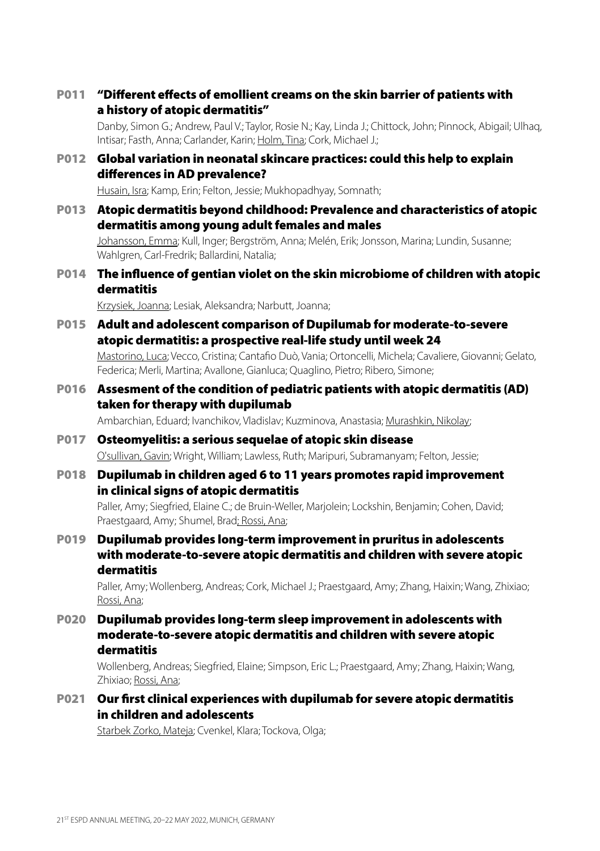P011 "Different effects of emollient creams on the skin barrier of patients with a history of atopic dermatitis"

Danby, Simon G.; Andrew, Paul V.; Taylor, Rosie N.; Kay, Linda J.; Chittock, John; Pinnock, Abigail; Ulhaq, Intisar; Fasth, Anna; Carlander, Karin; Holm, Tina; Cork, Michael J.;

P012 Global variation in neonatal skincare practices: could this help to explain differences in AD prevalence?

Husain, Isra; Kamp, Erin; Felton, Jessie; Mukhopadhyay, Somnath;

P013 Atopic dermatitis beyond childhood: Prevalence and characteristics of atopic dermatitis among young adult females and males

Johansson, Emma; Kull, Inger; Bergström, Anna; Melén, Erik; Jonsson, Marina; Lundin, Susanne; Wahlgren, Carl-Fredrik; Ballardini, Natalia;

P014 The influence of gentian violet on the skin microbiome of children with atopic dermatitis

Krzysiek, Joanna; Lesiak, Aleksandra; Narbutt, Joanna;

P015 Adult and adolescent comparison of Dupilumab for moderate-to-severe atopic dermatitis: a prospective real-life study until week 24

Mastorino, Luca; Vecco, Cristina; Cantafio Duò, Vania; Ortoncelli, Michela; Cavaliere, Giovanni; Gelato, Federica; Merli, Martina; Avallone, Gianluca; Quaglino, Pietro; Ribero, Simone;

P016 Assesment of the condition of pediatric patients with atopic dermatitis (AD) taken for therapy with dupilumab

Ambarchian, Eduard; Ivanchikov, Vladislav; Kuzminova, Anastasia; Murashkin, Nikolay;

### P017 Osteomyelitis: a serious sequelae of atopic skin disease O'sullivan, Gavin; Wright, William; Lawless, Ruth; Maripuri, Subramanyam; Felton, Jessie;

P018 Dupilumab in children aged 6 to 11 years promotes rapid improvement in clinical signs of atopic dermatitis

Paller, Amy; Siegfried, Elaine C.; de Bruin-Weller, Marjolein; Lockshin, Benjamin; Cohen, David; Praestgaard, Amy; Shumel, Brad; Rossi, Ana;

P019 Dupilumab provides long-term improvement in pruritus in adolescents with moderate-to-severe atopic dermatitis and children with severe atopic dermatitis

Paller, Amy; Wollenberg, Andreas; Cork, Michael J.; Praestgaard, Amy; Zhang, Haixin; Wang, Zhixiao; Rossi, Ana;

P020 Dupilumab provides long-term sleep improvement in adolescents with moderate-to-severe atopic dermatitis and children with severe atopic dermatitis

Wollenberg, Andreas; Siegfried, Elaine; Simpson, Eric L.; Praestgaard, Amy; Zhang, Haixin; Wang, Zhixiao; Rossi, Ana;

P021 Our first clinical experiences with dupilumab for severe atopic dermatitis in children and adolescents

Starbek Zorko, Mateja; Cvenkel, Klara; Tockova, Olga;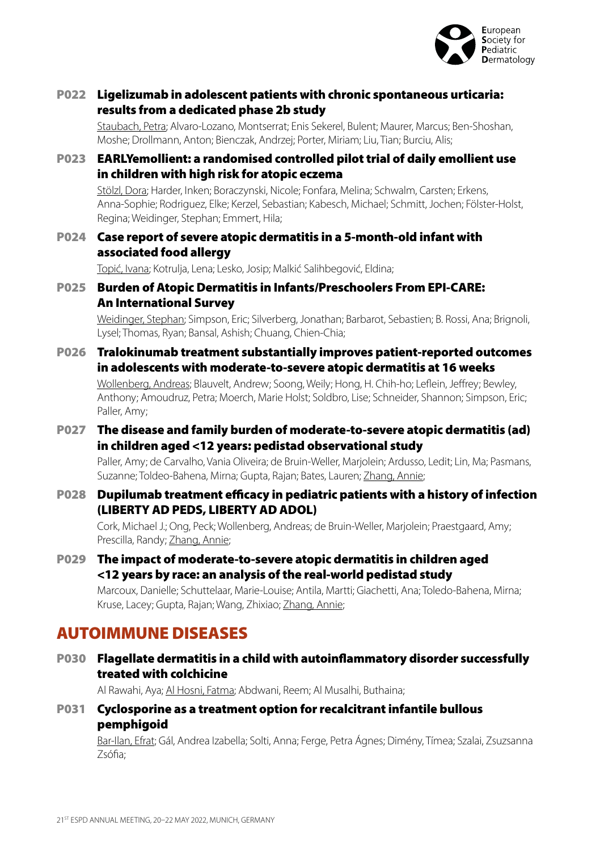

### P022 Ligelizumab in adolescent patients with chronic spontaneous urticaria: results from a dedicated phase 2b study

Staubach, Petra; Alvaro-Lozano, Montserrat; Enis Sekerel, Bulent; Maurer, Marcus; Ben-Shoshan, Moshe; Drollmann, Anton; Bienczak, Andrzej; Porter, Miriam; Liu, Tian; Burciu, Alis;

### P023 EARLYemollient: a randomised controlled pilot trial of daily emollient use in children with high risk for atopic eczema

Stölzl, Dora; Harder, Inken; Boraczynski, Nicole; Fonfara, Melina; Schwalm, Carsten; Erkens, Anna-Sophie; Rodriguez, Elke; Kerzel, Sebastian; Kabesch, Michael; Schmitt, Jochen; Fölster-Holst, Regina; Weidinger, Stephan; Emmert, Hila;

### P024 Case report of severe atopic dermatitis in a 5-month-old infant with associated food allergy

Topić, Ivana; Kotrulja, Lena; Lesko, Josip; Malkić Salihbegović, Eldina;

### P025 Burden of Atopic Dermatitis in Infants/Preschoolers From EPI-CARE: An International Survey

Weidinger, Stephan; Simpson, Eric; Silverberg, Jonathan; Barbarot, Sebastien; B. Rossi, Ana; Brignoli, Lysel; Thomas, Ryan; Bansal, Ashish; Chuang, Chien-Chia;

### P026 Tralokinumab treatment substantially improves patient-reported outcomes in adolescents with moderate-to-severe atopic dermatitis at 16 weeks

Wollenberg, Andreas; Blauvelt, Andrew; Soong, Weily; Hong, H. Chih-ho; Leflein, Jeffrey; Bewley, Anthony; Amoudruz, Petra; Moerch, Marie Holst; Soldbro, Lise; Schneider, Shannon; Simpson, Eric; Paller, Amy:

### P027 The disease and family burden of moderate-to-severe atopic dermatitis (ad) in children aged <12 years: pedistad observational study

Paller, Amy; de Carvalho, Vania Oliveira; de Bruin-Weller, Marjolein; Ardusso, Ledit; Lin, Ma; Pasmans, Suzanne; Toldeo-Bahena, Mirna; Gupta, Rajan; Bates, Lauren; Zhang, Annie;

#### P028 Dupilumab treatment efficacy in pediatric patients with a history of infection (LIBERTY AD PEDS, LIBERTY AD ADOL)

Cork, Michael J.; Ong, Peck; Wollenberg, Andreas; de Bruin-Weller, Marjolein; Praestgaard, Amy; Prescilla, Randy; Zhang, Annie;

#### P029 The impact of moderate-to-severe atopic dermatitis in children aged <12 years by race: an analysis of the real-world pedistad study

Marcoux, Danielle; Schuttelaar, Marie-Louise; Antila, Martti; Giachetti, Ana; Toledo-Bahena, Mirna; Kruse, Lacey; Gupta, Rajan; Wang, Zhixiao; Zhang, Annie;

# AUTOIMMUNE DISEASES

P030 Flagellate dermatitis in a child with autoinflammatory disorder successfully treated with colchicine

Al Rawahi, Aya; Al Hosni, Fatma; Abdwani, Reem; Al Musalhi, Buthaina;

#### P031 Cyclosporine as a treatment option for recalcitrant infantile bullous pemphigoid

Bar-Ilan, Efrat; Gál, Andrea Izabella; Solti, Anna; Ferge, Petra Ágnes; Dimény, Tímea; Szalai, Zsuzsanna Zsófia;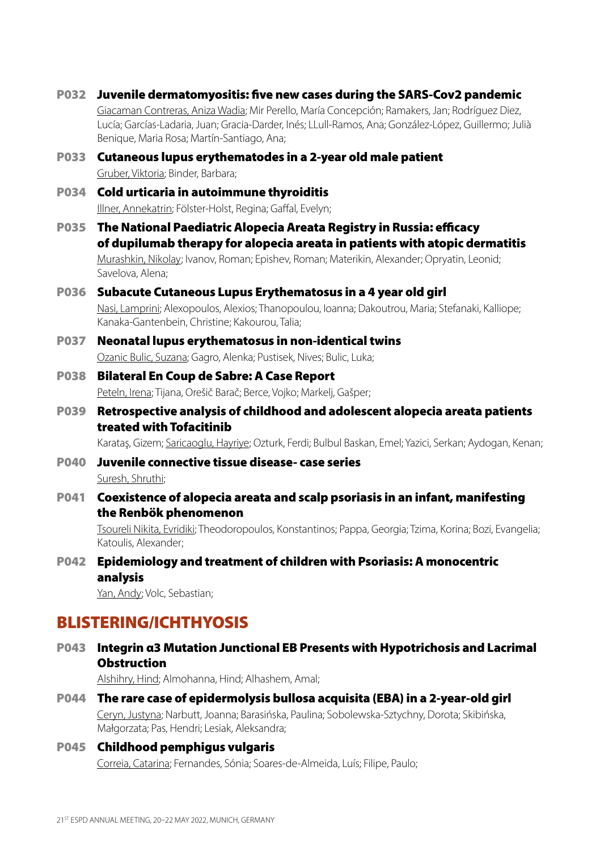- P032 Juvenile dermatomyositis: five new cases during the SARS-Cov2 pandemic Giacaman Contreras, Aniza Wadia; Mir Perello, María Concepción; Ramakers, Jan; Rodríguez Diez, Lucía; Garcías-Ladaria, Juan; Gracia-Darder, Inés; LLull-Ramos, Ana; González-López, Guillermo; Julià Benique, Maria Rosa; Martín-Santiago, Ana; P033 Cutaneous lupus erythematodes in a 2-year old male patient Gruber, Viktoria; Binder, Barbara;
- P034 Cold urticaria in autoimmune thyroiditis Illner, Annekatrin; Fölster-Holst, Regina; Gaffal, Evelyn;
- P035 The National Paediatric Alopecia Areata Registry in Russia: efficacy of dupilumab therapy for alopecia areata in patients with atopic dermatitis

Murashkin, Nikolay; Ivanov, Roman; Epishev, Roman; Materikin, Alexander; Opryatin, Leonid; Savelova, Alena;

# P036 Subacute Cutaneous Lupus Erythematosus in a 4 year old girl

Nasi, Lamprini; Alexopoulos, Alexios; Thanopoulou, Ioanna; Dakoutrou, Maria; Stefanaki, Kalliope; Kanaka-Gantenbein, Christine; Kakourou, Talia;

### P037 Neonatal lupus erythematosus in non-identical twins Ozanic Bulic, Suzana; Gagro, Alenka; Pustisek, Nives; Bulic, Luka;

### P038 Bilateral En Coup de Sabre: A Case Report

Peteln, Irena; Tijana, Orešič Barač; Berce, Vojko; Markelj, Gašper;

P039 Retrospective analysis of childhood and adolescent alopecia areata patients treated with Tofacitinib

Karataş, Gizem; Saricaoglu, Hayriye; Ozturk, Ferdi; Bulbul Baskan, Emel; Yazici, Serkan; Aydogan, Kenan;

- P040 Juvenile connective tissue disease- case series Suresh, Shruthi;
- P041 Coexistence of alopecia areata and scalp psoriasis in an infant, manifesting the Renbök phenomenon

Tsoureli Nikita, Evridiki; Theodoropoulos, Konstantinos; Pappa, Georgia; Tzima, Korina; Bozi, Evangelia; Katoulis, Alexander;

### P042 Epidemiology and treatment of children with Psoriasis: A monocentric analysis

Yan, Andy; Volc, Sebastian;

# BLISTERING/ICHTHYOSIS

### P043 Integrin α3 Mutation Junctional EB Presents with Hypotrichosis and Lacrimal **Obstruction**

Alshihry, Hind; Almohanna, Hind; Alhashem, Amal;

P044 The rare case of epidermolysis bullosa acquisita (EBA) in a 2-year-old girl Ceryn, Justyna; Narbutt, Joanna; Barasińska, Paulina; Sobolewska-Sztychny, Dorota; Skibińska, Małgorzata; Pas, Hendri; Lesiak, Aleksandra;

# P045 Childhood pemphigus vulgaris

Correia, Catarina; Fernandes, Sónia; Soares-de-Almeida, Luís; Filipe, Paulo;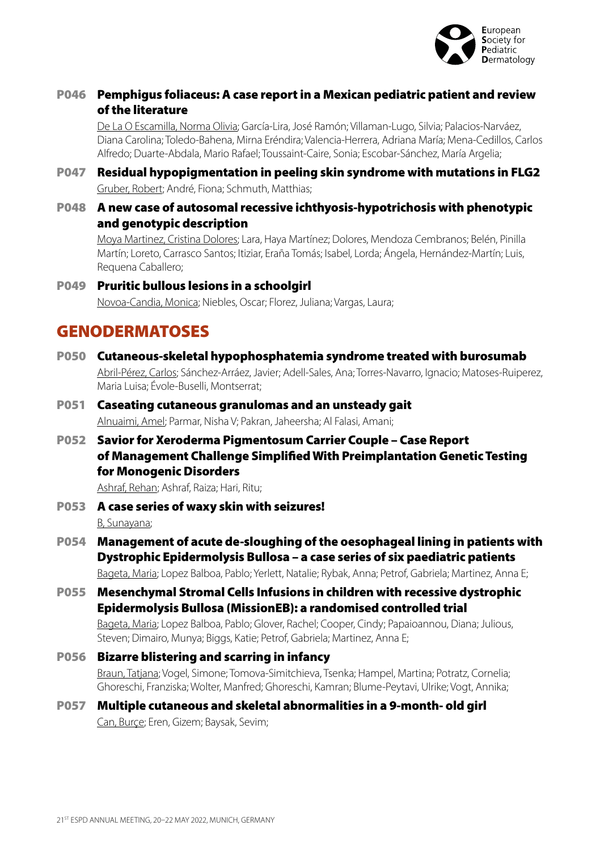

### P046 Pemphigus foliaceus: A case report in a Mexican pediatric patient and review of the literature

De La O Escamilla, Norma Olivia; García-Lira, José Ramón; Villaman-Lugo, Silvia; Palacios-Narváez, Diana Carolina; Toledo-Bahena, Mirna Eréndira; Valencia-Herrera, Adriana María; Mena-Cedillos, Carlos Alfredo; Duarte-Abdala, Mario Rafael; Toussaint-Caire, Sonia; Escobar-Sánchez, María Argelia;

- P047 Residual hypopigmentation in peeling skin syndrome with mutations in FLG2 Gruber, Robert; André, Fiona; Schmuth, Matthias;
- P048 A new case of autosomal recessive ichthyosis-hypotrichosis with phenotypic and genotypic description

Moya Martinez, Cristina Dolores; Lara, Haya Martínez; Dolores, Mendoza Cembranos; Belén, Pinilla Martín; Loreto, Carrasco Santos; Itiziar, Eraña Tomás; Isabel, Lorda; Ángela, Hernández-Martín; Luis, Requena Caballero;

#### P049 Pruritic bullous lesions in a schoolgirl Novoa-Candia, Monica; Niebles, Oscar; Florez, Juliana; Vargas, Laura;

# **GENODERMATOSES**

P050 Cutaneous-skeletal hypophosphatemia syndrome treated with burosumab Abril-Pérez, Carlos; Sánchez-Arráez, Javier; Adell-Sales, Ana; Torres-Navarro, Ignacio; Matoses-Ruiperez, Maria Luisa; Évole-Buselli, Montserrat;

### P051 Caseating cutaneous granulomas and an unsteady gait Alnuaimi, Amel; Parmar, Nisha V; Pakran, Jaheersha; Al Falasi, Amani;

P052 Savior for Xeroderma Pigmentosum Carrier Couple – Case Report of Management Challenge Simplified With Preimplantation Genetic Testing for Monogenic Disorders

Ashraf, Rehan; Ashraf, Raiza; Hari, Ritu;

- P053 A case series of waxy skin with seizures! B, Sunayana;
- P054 Management of acute de-sloughing of the oesophageal lining in patients with Dystrophic Epidermolysis Bullosa – a case series of six paediatric patients

Bageta, Maria; Lopez Balboa, Pablo; Yerlett, Natalie; Rybak, Anna; Petrof, Gabriela; Martinez, Anna E;

P055 Mesenchymal Stromal Cells Infusions in children with recessive dystrophic Epidermolysis Bullosa (MissionEB): a randomised controlled trial

Bageta, Maria; Lopez Balboa, Pablo; Glover, Rachel; Cooper, Cindy; Papaioannou, Diana; Julious, Steven; Dimairo, Munya; Biggs, Katie; Petrof, Gabriela; Martinez, Anna E;

### P056 Bizarre blistering and scarring in infancy

Braun, Tatjana; Vogel, Simone; Tomova-Simitchieva, Tsenka; Hampel, Martina; Potratz, Cornelia; Ghoreschi, Franziska; Wolter, Manfred; Ghoreschi, Kamran; Blume-Peytavi, Ulrike; Vogt, Annika;

#### P057 Multiple cutaneous and skeletal abnormalities in a 9‐month‐ old girl Can, Burçe; Eren, Gizem; Baysak, Sevim;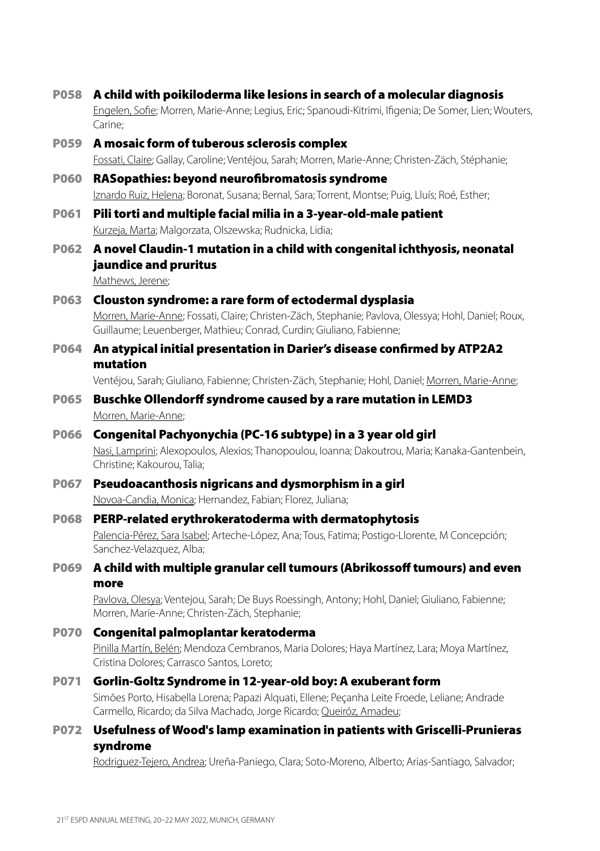- P058 A child with poikiloderma like lesions in search of a molecular diagnosis Engelen, Sofie; Morren, Marie-Anne; Legius, Eric; Spanoudi-Kitrimi, Ifigenia; De Somer, Lien; Wouters, Carine;
- P059 A mosaic form of tuberous sclerosis complex Fossati, Claire; Gallay, Caroline; Ventéjou, Sarah; Morren, Marie-Anne; Christen-Zäch, Stéphanie;
- P060 RASopathies: beyond neurofibromatosis syndrome Iznardo Ruiz, Helena; Boronat, Susana; Bernal, Sara; Torrent, Montse; Puig, Lluís; Roé, Esther;
- P061 Pili torti and multiple facial milia in a 3-year-old-male patient Kurzeja, Marta; Malgorzata, Olszewska; Rudnicka, Lidia;
- P062 A novel Claudin-1 mutation in a child with congenital ichthyosis, neonatal jaundice and pruritus

Mathews, Jerene;

- P063 Clouston syndrome: a rare form of ectodermal dysplasia Morren, Marie-Anne; Fossati, Claire; Christen-Zäch, Stephanie; Pavlova, Olessya; Hohl, Daniel; Roux, Guillaume; Leuenberger, Mathieu; Conrad, Curdin; Giuliano, Fabienne;
- P064 An atypical initial presentation in Darier's disease confirmed by ATP2A2 mutation

Ventéjou, Sarah; Giuliano, Fabienne; Christen-Zäch, Stephanie; Hohl, Daniel; Morren, Marie-Anne;

- P065 Buschke Ollendorff syndrome caused by a rare mutation in LEMD3 Morren, Marie-Anne<sup>;</sup>
- P066 Congenital Pachyonychia (PC-16 subtype) in a 3 year old girl Nasi, Lamprini; Alexopoulos, Alexios; Thanopoulou, Ioanna; Dakoutrou, Maria; Kanaka-Gantenbein, Christine; Kakourou, Talia;
- P067 Pseudoacanthosis nigricans and dysmorphism in a girl Novoa-Candia, Monica; Hernandez, Fabian; Florez, Juliana;
- P068 PERP-related erythrokeratoderma with dermatophytosis

Palencia-Pérez, Sara Isabel; Arteche-López, Ana; Tous, Fatima; Postigo-Llorente, M Concepción; Sanchez-Velazquez, Alba;

P069 A child with multiple granular cell tumours (Abrikossoff tumours) and even more

Pavlova, Olesya; Ventejou, Sarah; De Buys Roessingh, Antony; Hohl, Daniel; Giuliano, Fabienne; Morren, Marie-Anne; Christen-Zäch, Stephanie;

- P070 Congenital palmoplantar keratoderma Pinilla Martín, Belén; Mendoza Cembranos, Maria Dolores; Haya Martínez, Lara; Moya Martínez, Cristina Dolores; Carrasco Santos, Loreto;
- P071 Gorlin-Goltz Syndrome in 12-year-old boy: A exuberant form Simões Porto, Hisabella Lorena; Papazi Alquati, Ellene; Peçanha Leite Froede, Leliane; Andrade Carmello, Ricardo; da Silva Machado, Jorge Ricardo; Queiróz, Amadeu;
- P072 Usefulness of Wood's lamp examination in patients with Griscelli-Prunieras syndrome

Rodriguez-Tejero, Andrea; Ureña-Paniego, Clara; Soto-Moreno, Alberto; Arias-Santiago, Salvador;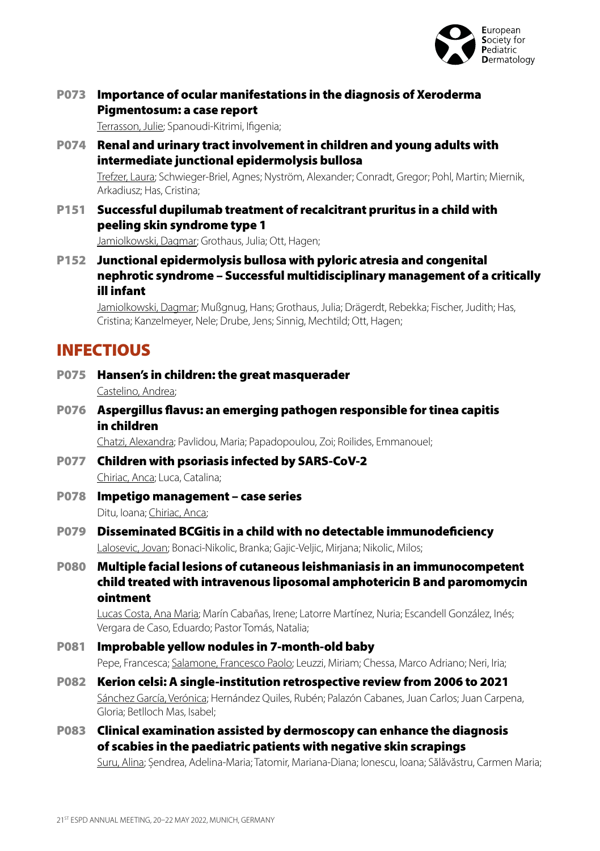

### P073 Importance of ocular manifestations in the diagnosis of Xeroderma Pigmentosum: a case report

Terrasson, Julie; Spanoudi-Kitrimi, Ifigenia;

P074 Renal and urinary tract involvement in children and young adults with intermediate junctional epidermolysis bullosa

Trefzer, Laura; Schwieger-Briel, Agnes; Nyström, Alexander; Conradt, Gregor; Pohl, Martin; Miernik, Arkadiusz; Has, Cristina;

P151 Successful dupilumab treatment of recalcitrant pruritus in a child with peeling skin syndrome type 1

Jamiolkowski, Dagmar; Grothaus, Julia; Ott, Hagen;

P152 Junctional epidermolysis bullosa with pyloric atresia and congenital nephrotic syndrome – Successful multidisciplinary management of a critically ill infant

Jamiolkowski, Dagmar; Mußgnug, Hans; Grothaus, Julia; Drägerdt, Rebekka; Fischer, Judith; Has, Cristina; Kanzelmeyer, Nele; Drube, Jens; Sinnig, Mechtild; Ott, Hagen;

# **INFECTIOUS**

- P075 Hansen's in children: the great masquerader Castelino, Andrea;
- P076 Aspergillus flavus: an emerging pathogen responsible for tinea capitis in children

Chatzi, Alexandra; Pavlidou, Maria; Papadopoulou, Zoi; Roilides, Emmanouel;

- P077 Children with psoriasis infected by SARS-CoV-2 Chiriac, Anca; Luca, Catalina;
- P078 Impetigo management case series Ditu, Ioana; Chiriac, Anca;
- P079 Disseminated BCGitis in a child with no detectable immunodeficiency Lalosevic, Jovan; Bonaci-Nikolic, Branka; Gajic-Veljic, Mirjana; Nikolic, Milos;
- P080 Multiple facial lesions of cutaneous leishmaniasis in an immunocompetent child treated with intravenous liposomal amphotericin B and paromomycin ointment

Lucas Costa, Ana Maria; Marín Cabañas, Irene; Latorre Martínez, Nuria; Escandell González, Inés; Vergara de Caso, Eduardo; Pastor Tomás, Natalia;

P081 Improbable yellow nodules in 7-month-old baby Pepe, Francesca; Salamone, Francesco Paolo; Leuzzi, Miriam; Chessa, Marco Adriano; Neri, Iria;

### P082 Kerion celsi: A single-institution retrospective review from 2006 to 2021 Sánchez García, Verónica; Hernández Quiles, Rubén; Palazón Cabanes, Juan Carlos; Juan Carpena, Gloria; Betlloch Mas, Isabel;

P083 Clinical examination assisted by dermoscopy can enhance the diagnosis of scabies in the paediatric patients with negative skin scrapings

Suru, Alina; Șendrea, Adelina-Maria; Tatomir, Mariana-Diana; Ionescu, Ioana; Sălăvăstru, Carmen Maria;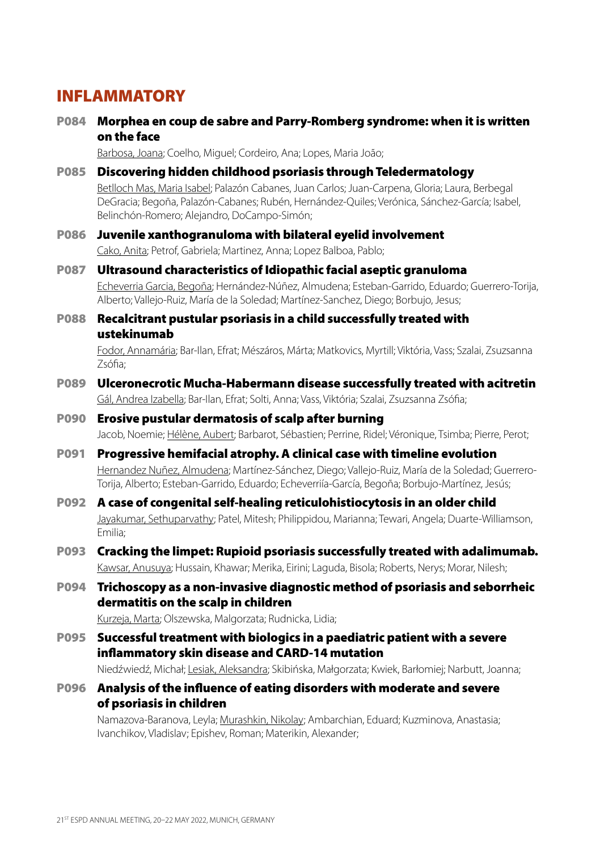# INFLAMMATORY

P084 Morphea en coup de sabre and Parry-Romberg syndrome: when it is written on the face

Barbosa, Joana; Coelho, Miguel; Cordeiro, Ana; Lopes, Maria João;

- P085 Discovering hidden childhood psoriasis through Teledermatology Betlloch Mas, Maria Isabel; Palazón Cabanes, Juan Carlos; Juan-Carpena, Gloria; Laura, Berbegal DeGracia; Begoña, Palazón-Cabanes; Rubén, Hernández-Quiles; Verónica, Sánchez-García; Isabel, Belinchón-Romero; Alejandro, DoCampo-Simón;
- P086 Juvenile xanthogranuloma with bilateral eyelid involvement Cako, Anita; Petrof, Gabriela; Martinez, Anna; Lopez Balboa, Pablo;
- P087 Ultrasound characteristics of Idiopathic facial aseptic granuloma Echeverria Garcia, Begoña; Hernández-Núñez, Almudena; Esteban-Garrido, Eduardo; Guerrero-Torija, Alberto; Vallejo-Ruiz, María de la Soledad; Martínez-Sanchez, Diego; Borbujo, Jesus;
- P088 Recalcitrant pustular psoriasis in a child successfully treated with ustekinumab

Fodor, Annamária; Bar-Ilan, Efrat; Mészáros, Márta; Matkovics, Myrtill; Viktória, Vass; Szalai, Zsuzsanna Zsófia;

- P089 Ulceronecrotic Mucha-Habermann disease successfully treated with acitretin Gál, Andrea Izabella; Bar-Ilan, Efrat; Solti, Anna; Vass, Viktória; Szalai, Zsuzsanna Zsófia;
- P090 Erosive pustular dermatosis of scalp after burning Jacob, Noemie; Hélène, Aubert; Barbarot, Sébastien; Perrine, Ridel; Véronique, Tsimba; Pierre, Perot;
- P091 Progressive hemifacial atrophy. A clinical case with timeline evolution Hernandez Nuñez, Almudena; Martínez-Sánchez, Diego; Vallejo-Ruiz, María de la Soledad; Guerrero-Torija, Alberto; Esteban-Garrido, Eduardo; Echeverriía-García, Begoña; Borbujo-Martínez, Jesús;
- P092 A case of congenital self-healing reticulohistiocytosis in an older child Jayakumar, Sethuparvathy; Patel, Mitesh; Philippidou, Marianna; Tewari, Angela; Duarte-Williamson, Emilia;
- P093 Cracking the limpet: Rupioid psoriasis successfully treated with adalimumab. Kawsar, Anusuya; Hussain, Khawar; Merika, Eirini; Laguda, Bisola; Roberts, Nerys; Morar, Nilesh;
- P094 Trichoscopy as a non-invasive diagnostic method of psoriasis and seborrheic dermatitis on the scalp in children

Kurzeja, Marta; Olszewska, Malgorzata; Rudnicka, Lidia;

P095 Successful treatment with biologics in a paediatric patient with a severe inflammatory skin disease and CARD-14 mutation

Niedźwiedź, Michał; Lesiak, Aleksandra; Skibińska, Małgorzata; Kwiek, Barłomiej; Narbutt, Joanna;

P096 Analysis of the influence of eating disorders with moderate and severe of psoriasis in children

Namazova-Baranova, Leyla; Murashkin, Nikolay; Ambarchian, Eduard; Kuzminova, Anastasia; Ivanchikov, Vladislav; Epishev, Roman; Materikin, Alexander;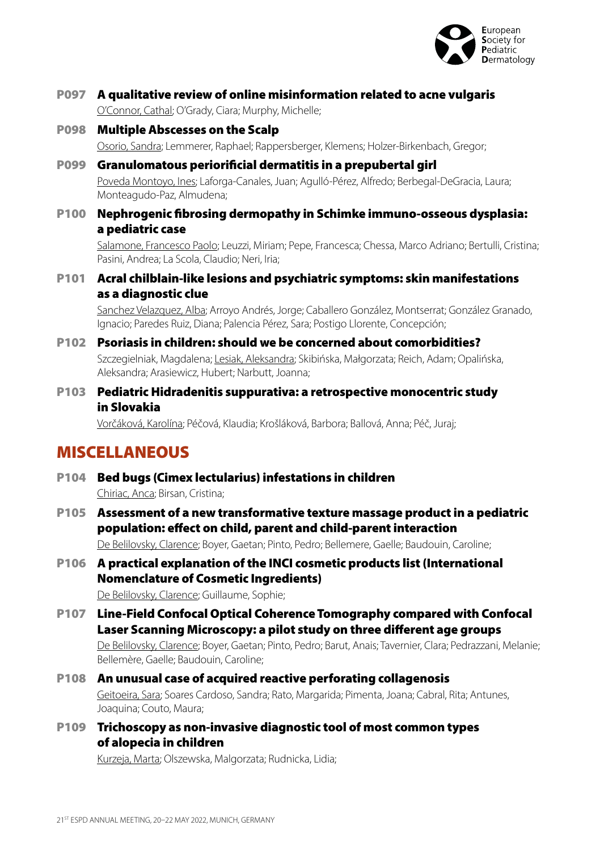

- P097 A qualitative review of online misinformation related to acne vulgaris O'Connor, Cathal; O'Grady, Ciara; Murphy, Michelle;
- P098 Multiple Abscesses on the Scalp Osorio, Sandra; Lemmerer, Raphael; Rappersberger, Klemens; Holzer-Birkenbach, Gregor;
- P099 Granulomatous periorificial dermatitis in a prepubertal girl Poveda Montoyo, Ines; Laforga-Canales, Juan; Agulló-Pérez, Alfredo; Berbegal-DeGracia, Laura; Monteagudo-Paz, Almudena;
- P100 Nephrogenic fibrosing dermopathy in Schimke immuno-osseous dysplasia: a pediatric case

Salamone, Francesco Paolo; Leuzzi, Miriam; Pepe, Francesca; Chessa, Marco Adriano; Bertulli, Cristina; Pasini, Andrea; La Scola, Claudio; Neri, Iria;

#### P101 Acral chilblain-like lesions and psychiatric symptoms: skin manifestations as a diagnostic clue

Sanchez Velazquez, Alba; Arroyo Andrés, Jorge; Caballero González, Montserrat; González Granado, Ignacio; Paredes Ruiz, Diana; Palencia Pérez, Sara; Postigo Llorente, Concepción;

- P102 Psoriasis in children: should we be concerned about comorbidities? Szczegielniak, Magdalena; Lesiak, Aleksandra; Skibińska, Małgorzata; Reich, Adam; Opalińska, Aleksandra; Arasiewicz, Hubert; Narbutt, Joanna;
- P103 Pediatric Hidradenitis suppurativa: a retrospective monocentric study in Slovakia

Vorčáková, Karolína; Péčová, Klaudia; Krošláková, Barbora; Ballová, Anna; Péč, Juraj;

### MISCELLANEOUS

- P104 Bed bugs (Cimex lectularius) infestations in children Chiriac, Anca; Birsan, Cristina;
- P105 Assessment of a new transformative texture massage product in a pediatric population: effect on child, parent and child-parent interaction De Belilovsky, Clarence; Boyer, Gaetan; Pinto, Pedro; Bellemere, Gaelle; Baudouin, Caroline;
- P106 A practical explanation of the INCI cosmetic products list (International Nomenclature of Cosmetic Ingredients)

De Belilovsky, Clarence; Guillaume, Sophie;

P107 Line-Field Confocal Optical Coherence Tomography compared with Confocal Laser Scanning Microscopy: a pilot study on three different age groups

De Belilovsky, Clarence; Boyer, Gaetan; Pinto, Pedro; Barut, Anais; Tavernier, Clara; Pedrazzani, Melanie; Bellemère, Gaelle; Baudouin, Caroline;

- P108 An unusual case of acquired reactive perforating collagenosis Geitoeira, Sara; Soares Cardoso, Sandra; Rato, Margarida; Pimenta, Joana; Cabral, Rita; Antunes, Joaquina; Couto, Maura;
- P109 Trichoscopy as non-invasive diagnostic tool of most common types of alopecia in children

Kurzeja, Marta; Olszewska, Malgorzata; Rudnicka, Lidia;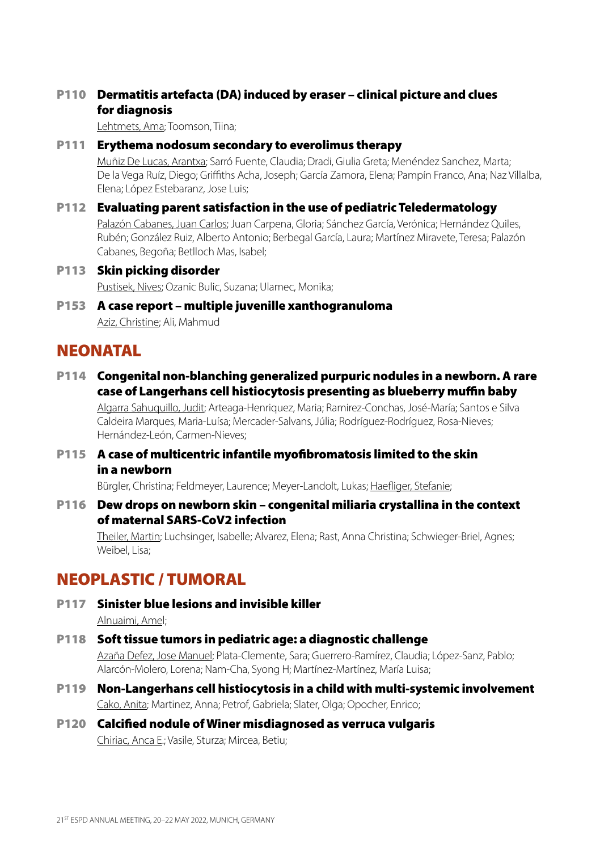### P110 Dermatitis artefacta (DA) induced by eraser – clinical picture and clues for diagnosis

Lehtmets, Ama; Toomson, Tiina;

#### P111 Erythema nodosum secondary to everolimus therapy

Muñiz De Lucas, Arantxa; Sarró Fuente, Claudia; Dradi, Giulia Greta; Menéndez Sanchez, Marta; De la Vega Ruíz, Diego; Griffiths Acha, Joseph; García Zamora, Elena; Pampín Franco, Ana; Naz Villalba, Elena; López Estebaranz, Jose Luis;

### P112 Evaluating parent satisfaction in the use of pediatric Teledermatology

Palazón Cabanes, Juan Carlos; Juan Carpena, Gloria; Sánchez García, Verónica; Hernández Quiles, Rubén; González Ruiz, Alberto Antonio; Berbegal García, Laura; Martínez Miravete, Teresa; Palazón Cabanes, Begoña; Betlloch Mas, Isabel;

P113 Skin picking disorder Pustisek, Nives; Ozanic Bulic, Suzana; Ulamec, Monika;

### P153 A case report – multiple juvenille xanthogranuloma Aziz, Christine; Ali, Mahmud

### **NEONATAL**

P114 Congenital non-blanching generalized purpuric nodules in a newborn. A rare case of Langerhans cell histiocytosis presenting as blueberry muffin baby

Algarra Sahuquillo, Judit; Arteaga-Henriquez, Maria; Ramirez-Conchas, José-María; Santos e Silva Caldeira Marques, Maria-Luísa; Mercader-Salvans, Júlia; Rodríguez-Rodríguez, Rosa-Nieves; Hernández-León, Carmen-Nieves;

### P115 A case of multicentric infantile myofibromatosis limited to the skin in a newborn

Bürgler, Christina; Feldmeyer, Laurence; Meyer-Landolt, Lukas; Haefliger, Stefanie;

P116 Dew drops on newborn skin – congenital miliaria crystallina in the context of maternal SARS-CoV2 infection

Theiler, Martin; Luchsinger, Isabelle; Alvarez, Elena; Rast, Anna Christina; Schwieger-Briel, Agnes; Weibel, Lisa;

# NEOPLASTIC / TUMORAL

- P117 Sinister blue lesions and invisible killer Alnuaimi, Amel;
- P118 Soft tissue tumors in pediatric age: a diagnostic challenge Azaña Defez, Jose Manuel; Plata-Clemente, Sara; Guerrero-Ramírez, Claudia; López-Sanz, Pablo; Alarcón-Molero, Lorena; Nam-Cha, Syong H; Martínez-Martínez, María Luisa;
- P119 Non-Langerhans cell histiocytosis in a child with multi-systemic involvement Cako, Anita; Martinez, Anna; Petrof, Gabriela; Slater, Olga; Opocher, Enrico;
- P120 Calcified nodule of Winer misdiagnosed as verruca vulgaris Chiriac, Anca E.; Vasile, Sturza; Mircea, Betiu;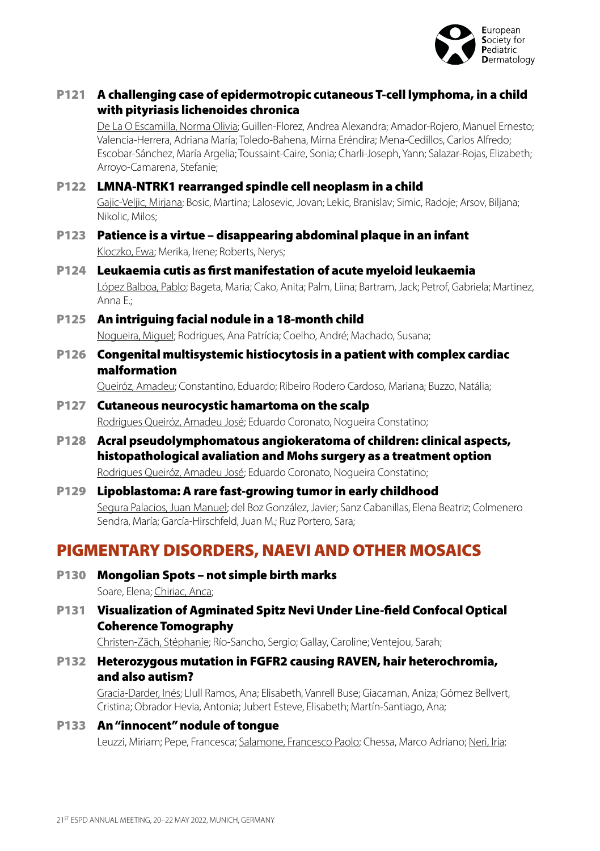

### P121 A challenging case of epidermotropic cutaneous T-cell lymphoma, in a child with pityriasis lichenoides chronica

De La O Escamilla, Norma Olivia; Guillen-Florez, Andrea Alexandra; Amador-Rojero, Manuel Ernesto; Valencia-Herrera, Adriana María; Toledo-Bahena, Mirna Eréndira; Mena-Cedillos, Carlos Alfredo; Escobar-Sánchez, María Argelia; Toussaint-Caire, Sonia; Charli-Joseph, Yann; Salazar-Rojas, Elizabeth; Arroyo-Camarena, Stefanie;

### P122 LMNA-NTRK1 rearranged spindle cell neoplasm in a child

Gajic-Veljic, Mirjana; Bosic, Martina; Lalosevic, Jovan; Lekic, Branislav; Simic, Radoje; Arsov, Biljana; Nikolic, Milos;

- P123 Patience is a virtue disappearing abdominal plaque in an infant Kloczko, Ewa; Merika, Irene; Roberts, Nerys;
- P124 Leukaemia cutis as first manifestation of acute myeloid leukaemia López Balboa, Pablo; Bageta, Maria; Cako, Anita; Palm, Liina; Bartram, Jack; Petrof, Gabriela; Martinez, Anna E.;

#### P125 An intriguing facial nodule in a 18-month child Nogueira, Miguel; Rodrigues, Ana Patrícia; Coelho, André; Machado, Susana;

P126 Congenital multisystemic histiocytosis in a patient with complex cardiac malformation

Queiróz, Amadeu; Constantino, Eduardo; Ribeiro Rodero Cardoso, Mariana; Buzzo, Natália;

### P127 Cutaneous neurocystic hamartoma on the scalp Rodrigues Queiróz, Amadeu José; Eduardo Coronato, Nogueira Constatino;

- P128 Acral pseudolymphomatous angiokeratoma of children: clinical aspects, histopathological avaliation and Mohs surgery as a treatment option Rodrigues Queiróz, Amadeu José; Eduardo Coronato, Nogueira Constatino;
- P129 Lipoblastoma: A rare fast-growing tumor in early childhood Segura Palacios, Juan Manuel; del Boz González, Javier; Sanz Cabanillas, Elena Beatriz; Colmenero Sendra, María; García-Hirschfeld, Juan M.; Ruz Portero, Sara;

# PIGMENTARY DISORDERS, NAEVI AND OTHER MOSAICS

P130 Mongolian Spots – not simple birth marks

Soare, Elena; Chiriac, Anca;

### P131 Visualization of Agminated Spitz Nevi Under Line-field Confocal Optical Coherence Tomography

Christen-Zäch, Stéphanie; Río-Sancho, Sergio; Gallay, Caroline; Ventejou, Sarah;

#### P132 Heterozygous mutation in FGFR2 causing RAVEN, hair heterochromia, and also autism?

Gracia-Darder, Inés; Llull Ramos, Ana; Elisabeth, Vanrell Buse; Giacaman, Aniza; Gómez Bellvert, Cristina; Obrador Hevia, Antonia; Jubert Esteve, Elisabeth; Martín-Santiago, Ana;

#### P133 An "innocent" nodule of tongue

Leuzzi, Miriam; Pepe, Francesca; Salamone, Francesco Paolo; Chessa, Marco Adriano; Neri, Iria;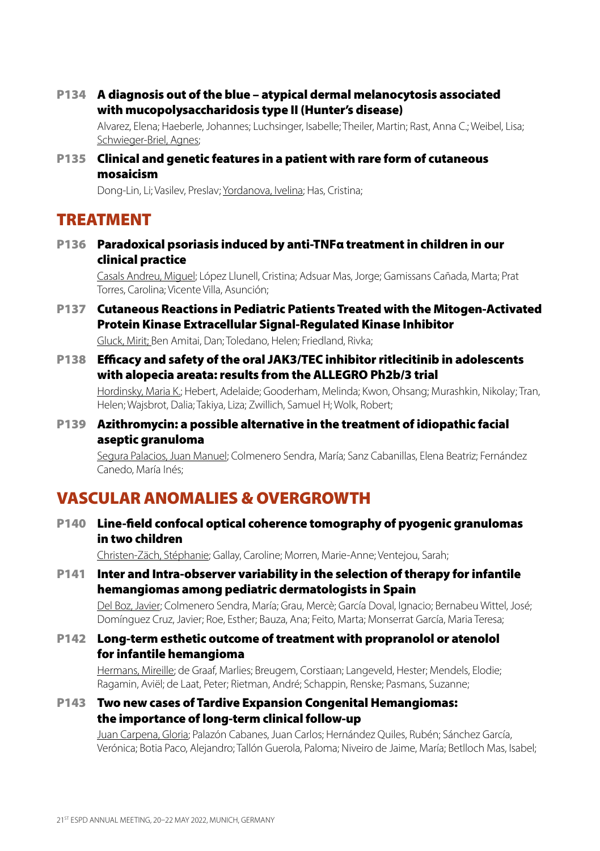P134 A diagnosis out of the blue – atypical dermal melanocytosis associated with mucopolysaccharidosis type II (Hunter's disease)

Alvarez, Elena; Haeberle, Johannes; Luchsinger, Isabelle; Theiler, Martin; Rast, Anna C.; Weibel, Lisa; Schwieger-Briel, Agnes;

P135 Clinical and genetic features in a patient with rare form of cutaneous mosaicism

Dong-Lin, Li; Vasilev, Preslav; Yordanova, Ivelina; Has, Cristina;

### **TREATMENT**

P136 Paradoxical psoriasis induced by anti-TNFα treatment in children in our clinical practice

Casals Andreu, Miguel; López Llunell, Cristina; Adsuar Mas, Jorge; Gamissans Cañada, Marta; Prat Torres, Carolina; Vicente Villa, Asunción;

- P137 Cutaneous Reactions in Pediatric Patients Treated with the Mitogen-Activated Protein Kinase Extracellular Signal-Regulated Kinase Inhibitor Gluck, Mirit; Ben Amitai, Dan; Toledano, Helen; Friedland, Rivka;
- P138 Efficacy and safety of the oral JAK3/TEC inhibitor ritlecitinib in adolescents with alopecia areata: results from the ALLEGRO Ph2b/3 trial

Hordinsky, Maria K.; Hebert, Adelaide; Gooderham, Melinda; Kwon, Ohsang; Murashkin, Nikolay; Tran, Helen; Wajsbrot, Dalia; Takiya, Liza; Zwillich, Samuel H; Wolk, Robert;

P139 Azithromycin: a possible alternative in the treatment of idiopathic facial aseptic granuloma

Segura Palacios, Juan Manuel; Colmenero Sendra, María; Sanz Cabanillas, Elena Beatriz; Fernández Canedo, María Inés;

# VASCULAR ANOMALIES & OVERGROWTH

P140 Line-field confocal optical coherence tomography of pyogenic granulomas in two children

Christen-Zäch, Stéphanie; Gallay, Caroline; Morren, Marie-Anne; Ventejou, Sarah;

P141 Inter and Intra-observer variability in the selection of therapy for infantile hemangiomas among pediatric dermatologists in Spain

Del Boz, Javier; Colmenero Sendra, María; Grau, Mercè; García Doval, Ignacio; Bernabeu Wittel, José; Domínguez Cruz, Javier; Roe, Esther; Bauza, Ana; Feito, Marta; Monserrat García, Maria Teresa;

P142 Long-term esthetic outcome of treatment with propranolol or atenolol for infantile hemangioma

Hermans, Mireille; de Graaf, Marlies; Breugem, Corstiaan; Langeveld, Hester; Mendels, Elodie; Ragamin, Aviël; de Laat, Peter; Rietman, André; Schappin, Renske; Pasmans, Suzanne;

#### P143 Two new cases of Tardive Expansion Congenital Hemangiomas: the importance of long-term clinical follow-up

Juan Carpena, Gloria; Palazón Cabanes, Juan Carlos; Hernández Quiles, Rubén; Sánchez García, Verónica; Botia Paco, Alejandro; Tallón Guerola, Paloma; Niveiro de Jaime, María; Betlloch Mas, Isabel;